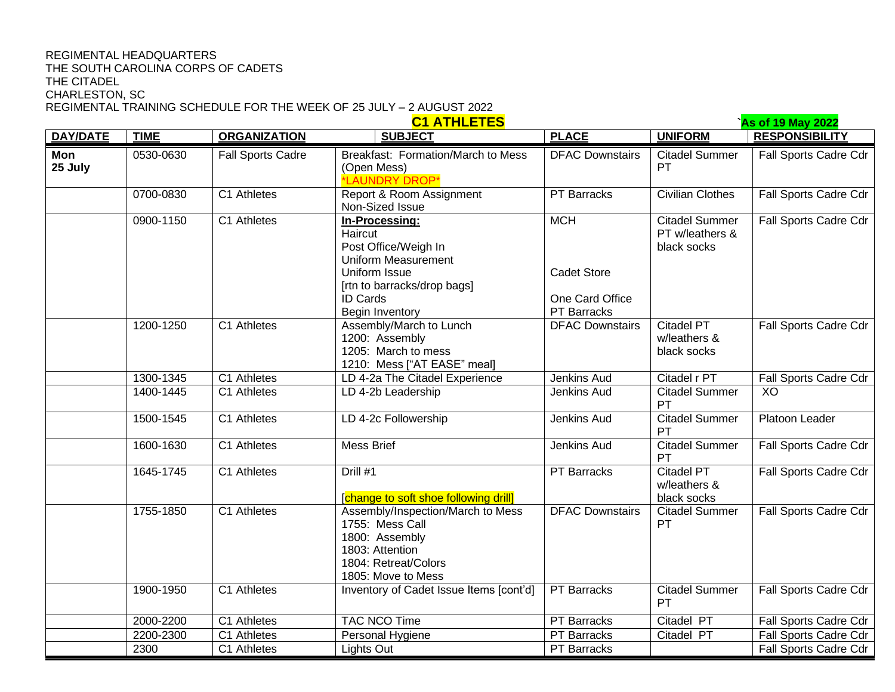## REGIMENTAL HEADQUARTERS THE SOUTH CAROLINA CORPS OF CADETS THE CITADEL CHARLESTON, SC REGIMENTAL TRAINING SCHEDULE FOR THE WEEK OF 25 JULY – 2 AUGUST 2022

|                 | <b>C1 ATHLETES</b> |                          |                                                                                                                                         |                                  |                                                         |                       |
|-----------------|--------------------|--------------------------|-----------------------------------------------------------------------------------------------------------------------------------------|----------------------------------|---------------------------------------------------------|-----------------------|
| <b>DAY/DATE</b> | <b>TIME</b>        | <b>ORGANIZATION</b>      | <b>SUBJECT</b>                                                                                                                          | <b>PLACE</b>                     | <b>UNIFORM</b>                                          | <b>RESPONSIBILITY</b> |
| Mon<br>25 July  | 0530-0630          | <b>Fall Sports Cadre</b> | Breakfast: Formation/March to Mess<br>(Open Mess)<br>*LAUNDRY DROP*                                                                     | <b>DFAC Downstairs</b>           | <b>Citadel Summer</b><br>PT                             | Fall Sports Cadre Cdr |
|                 | 0700-0830          | C1 Athletes              | Report & Room Assignment<br>Non-Sized Issue                                                                                             | <b>PT Barracks</b>               | <b>Civilian Clothes</b>                                 | Fall Sports Cadre Cdr |
|                 | 0900-1150          | C1 Athletes              | In-Processing:<br>Haircut<br>Post Office/Weigh In<br><b>Uniform Measurement</b><br>Uniform Issue                                        | <b>MCH</b><br><b>Cadet Store</b> | <b>Citadel Summer</b><br>PT w/leathers &<br>black socks | Fall Sports Cadre Cdr |
|                 |                    |                          | [rtn to barracks/drop bags]<br><b>ID Cards</b><br>Begin Inventory                                                                       | One Card Office<br>PT Barracks   |                                                         |                       |
|                 | 1200-1250          | C1 Athletes              | Assembly/March to Lunch<br>1200: Assembly<br>1205: March to mess<br>1210: Mess ["AT EASE" meal]                                         | <b>DFAC Downstairs</b>           | <b>Citadel PT</b><br>w/leathers &<br>black socks        | Fall Sports Cadre Cdr |
|                 | 1300-1345          | C1 Athletes              | LD 4-2a The Citadel Experience                                                                                                          | <b>Jenkins Aud</b>               | Citadel r PT                                            | Fall Sports Cadre Cdr |
|                 | 1400-1445          | C1 Athletes              | LD 4-2b Leadership                                                                                                                      | Jenkins Aud                      | <b>Citadel Summer</b><br>PT                             | XO                    |
|                 | 1500-1545          | C1 Athletes              | LD 4-2c Followership                                                                                                                    | <b>Jenkins Aud</b>               | <b>Citadel Summer</b><br>PT                             | Platoon Leader        |
|                 | 1600-1630          | C1 Athletes              | <b>Mess Brief</b>                                                                                                                       | Jenkins Aud                      | <b>Citadel Summer</b><br>PT                             | Fall Sports Cadre Cdr |
|                 | 1645-1745          | C1 Athletes              | Drill #1<br>[change to soft shoe following drill]                                                                                       | <b>PT Barracks</b>               | <b>Citadel PT</b><br>w/leathers &<br>black socks        | Fall Sports Cadre Cdr |
|                 | 1755-1850          | C1 Athletes              | Assembly/Inspection/March to Mess<br>1755: Mess Call<br>1800: Assembly<br>1803: Attention<br>1804: Retreat/Colors<br>1805: Move to Mess | <b>DFAC Downstairs</b>           | <b>Citadel Summer</b><br>PT                             | Fall Sports Cadre Cdr |
|                 | 1900-1950          | C1 Athletes              | Inventory of Cadet Issue Items [cont'd]                                                                                                 | PT Barracks                      | <b>Citadel Summer</b><br>PT                             | Fall Sports Cadre Cdr |
|                 | 2000-2200          | C1 Athletes              | <b>TAC NCO Time</b>                                                                                                                     | <b>PT</b> Barracks               | Citadel PT                                              | Fall Sports Cadre Cdr |
|                 | 2200-2300          | C1 Athletes              | Personal Hygiene                                                                                                                        | <b>PT</b> Barracks               | Citadel PT                                              | Fall Sports Cadre Cdr |
|                 | 2300               | C1 Athletes              | <b>Lights Out</b>                                                                                                                       | <b>PT</b> Barracks               |                                                         | Fall Sports Cadre Cdr |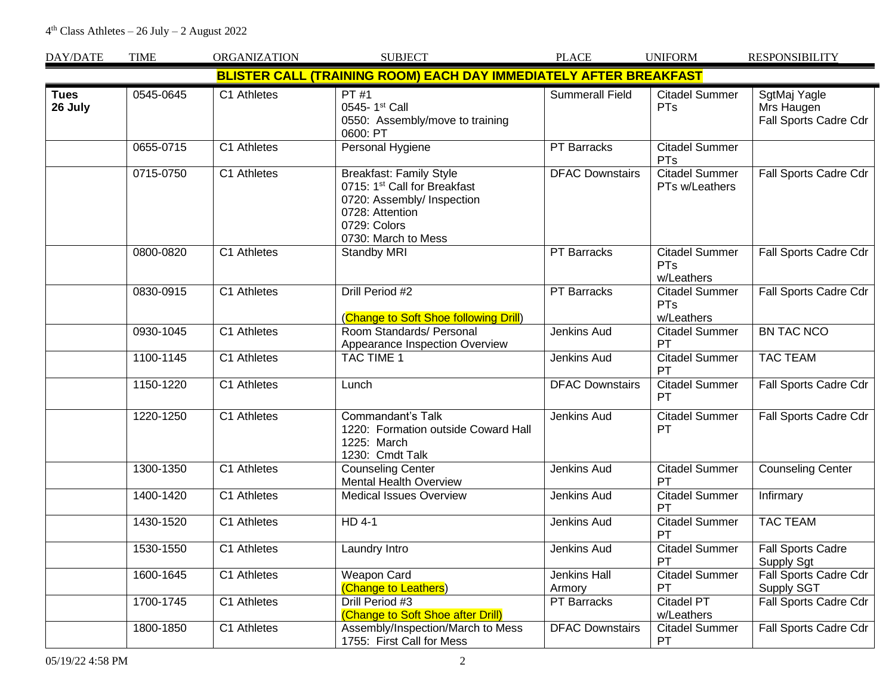| <b>DAY/DATE</b>        | <b>TIME</b> | ORGANIZATION | <b>SUBJECT</b>                                                                                                                                         | <b>PLACE</b>           | <b>UNIFORM</b>                             | <b>RESPONSIBILITY</b>                               |
|------------------------|-------------|--------------|--------------------------------------------------------------------------------------------------------------------------------------------------------|------------------------|--------------------------------------------|-----------------------------------------------------|
|                        |             |              | BLISTER CALL (TRAINING ROOM) EACH DAY IMMEDIATELY AFTER BREAKFAST                                                                                      |                        |                                            |                                                     |
| <b>Tues</b><br>26 July | 0545-0645   | C1 Athletes  | PT #1<br>0545-1st Call<br>0550: Assembly/move to training<br>0600: PT                                                                                  | <b>Summerall Field</b> | <b>Citadel Summer</b><br>PTs               | SgtMaj Yagle<br>Mrs Haugen<br>Fall Sports Cadre Cdr |
|                        | 0655-0715   | C1 Athletes  | Personal Hygiene                                                                                                                                       | <b>PT Barracks</b>     | <b>Citadel Summer</b><br>PTs               |                                                     |
|                        | 0715-0750   | C1 Athletes  | <b>Breakfast: Family Style</b><br>0715: 1st Call for Breakfast<br>0720: Assembly/ Inspection<br>0728: Attention<br>0729: Colors<br>0730: March to Mess | <b>DFAC Downstairs</b> | <b>Citadel Summer</b><br>PTs w/Leathers    | Fall Sports Cadre Cdr                               |
|                        | 0800-0820   | C1 Athletes  | Standby MRI                                                                                                                                            | PT Barracks            | <b>Citadel Summer</b><br>PTs<br>w/Leathers | Fall Sports Cadre Cdr                               |
|                        | 0830-0915   | C1 Athletes  | Drill Period #2<br>(Change to Soft Shoe following Drill)                                                                                               | <b>PT</b> Barracks     | <b>Citadel Summer</b><br>PTs<br>w/Leathers | Fall Sports Cadre Cdr                               |
|                        | 0930-1045   | C1 Athletes  | Room Standards/ Personal<br>Appearance Inspection Overview                                                                                             | Jenkins Aud            | <b>Citadel Summer</b><br>PT                | <b>BN TAC NCO</b>                                   |
|                        | 1100-1145   | C1 Athletes  | TAC TIME 1                                                                                                                                             | Jenkins Aud            | <b>Citadel Summer</b><br><b>PT</b>         | <b>TAC TEAM</b>                                     |
|                        | 1150-1220   | C1 Athletes  | Lunch                                                                                                                                                  | <b>DFAC Downstairs</b> | <b>Citadel Summer</b><br>PT                | Fall Sports Cadre Cdr                               |
|                        | 1220-1250   | C1 Athletes  | Commandant's Talk<br>1220: Formation outside Coward Hall<br>1225: March<br>1230: Cmdt Talk                                                             | Jenkins Aud            | <b>Citadel Summer</b><br><b>PT</b>         | Fall Sports Cadre Cdr                               |
|                        | 1300-1350   | C1 Athletes  | <b>Counseling Center</b><br><b>Mental Health Overview</b>                                                                                              | Jenkins Aud            | <b>Citadel Summer</b><br>PT                | Counseling Center                                   |
|                        | 1400-1420   | C1 Athletes  | <b>Medical Issues Overview</b>                                                                                                                         | Jenkins Aud            | <b>Citadel Summer</b><br>PT                | Infirmary                                           |
|                        | 1430-1520   | C1 Athletes  | $HD$ 4-1                                                                                                                                               | Jenkins Aud            | <b>Citadel Summer</b><br>PT                | <b>TAC TEAM</b>                                     |
|                        | 1530-1550   | C1 Athletes  | <b>Laundry Intro</b>                                                                                                                                   | Jenkins Aud            | <b>Citadel Summer</b><br>PT                | Fall Sports Cadre<br>Supply Sgt                     |
|                        | 1600-1645   | C1 Athletes  | Weapon Card<br>(Change to Leathers)                                                                                                                    | Jenkins Hall<br>Armory | <b>Citadel Summer</b><br>PT                | Fall Sports Cadre Cdr<br>Supply SGT                 |
|                        | 1700-1745   | C1 Athletes  | Drill Period #3<br>(Change to Soft Shoe after Drill)                                                                                                   | PT Barracks            | Citadel PT<br>w/Leathers                   | Fall Sports Cadre Cdr                               |
|                        | 1800-1850   | C1 Athletes  | Assembly/Inspection/March to Mess<br>1755: First Call for Mess                                                                                         | <b>DFAC Downstairs</b> | <b>Citadel Summer</b><br><b>PT</b>         | Fall Sports Cadre Cdr                               |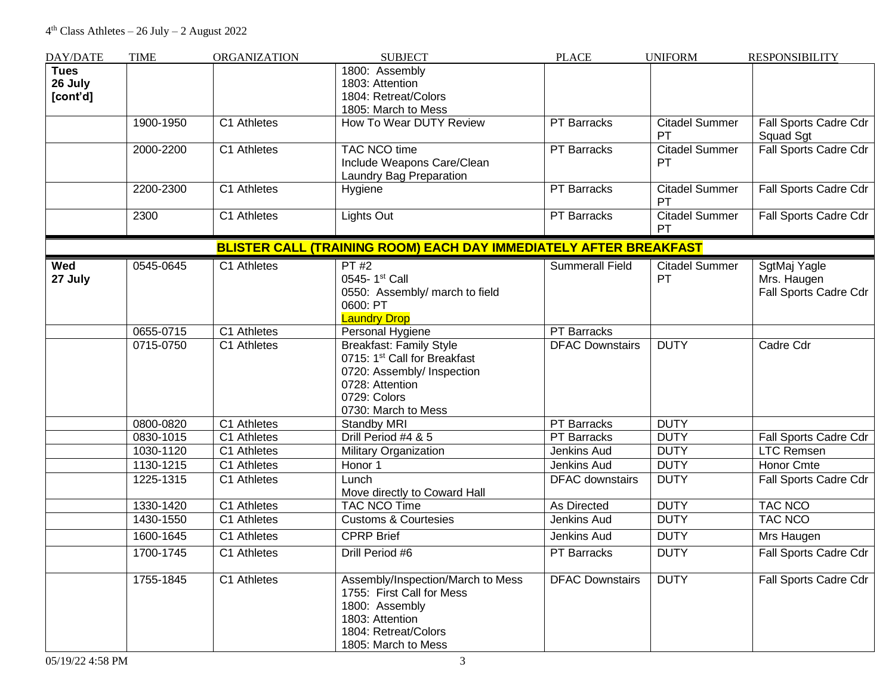| DAY/DATE                           | <b>TIME</b> | <b>ORGANIZATION</b> | <b>SUBJECT</b>                                                                                                                                                     | <b>PLACE</b>           | <b>UNIFORM</b>              | <b>RESPONSIBILITY</b>                                |
|------------------------------------|-------------|---------------------|--------------------------------------------------------------------------------------------------------------------------------------------------------------------|------------------------|-----------------------------|------------------------------------------------------|
| <b>Tues</b><br>26 July<br>[cont'd] |             |                     | 1800: Assembly<br>1803: Attention<br>1804: Retreat/Colors<br>1805: March to Mess                                                                                   |                        |                             |                                                      |
|                                    | 1900-1950   | C1 Athletes         | How To Wear DUTY Review                                                                                                                                            | <b>PT Barracks</b>     | <b>Citadel Summer</b><br>PT | Fall Sports Cadre Cdr<br>Squad Sgt                   |
|                                    | 2000-2200   | C1 Athletes         | <b>TAC NCO time</b><br>Include Weapons Care/Clean<br>Laundry Bag Preparation                                                                                       | PT Barracks            | <b>Citadel Summer</b><br>PT | Fall Sports Cadre Cdr                                |
|                                    | 2200-2300   | C1 Athletes         | Hygiene                                                                                                                                                            | PT Barracks            | <b>Citadel Summer</b><br>PT | Fall Sports Cadre Cdr                                |
|                                    | 2300        | C1 Athletes         | Lights Out                                                                                                                                                         | PT Barracks            | <b>Citadel Summer</b><br>PT | Fall Sports Cadre Cdr                                |
|                                    |             |                     | <b>BLISTER CALL (TRAINING ROOM) EACH DAY IMMEDIATELY AFTER BREAKFAST</b>                                                                                           |                        |                             |                                                      |
| Wed<br>27 July                     | 0545-0645   | C1 Athletes         | <b>PT#2</b><br>0545-1st Call<br>0550: Assembly/ march to field<br>0600: PT<br><b>Laundry Drop</b>                                                                  | <b>Summerall Field</b> | <b>Citadel Summer</b><br>PT | SgtMaj Yagle<br>Mrs. Haugen<br>Fall Sports Cadre Cdr |
|                                    | 0655-0715   | C1 Athletes         | Personal Hygiene                                                                                                                                                   | PT Barracks            |                             |                                                      |
|                                    | 0715-0750   | C1 Athletes         | <b>Breakfast: Family Style</b><br>0715: 1 <sup>st</sup> Call for Breakfast<br>0720: Assembly/ Inspection<br>0728: Attention<br>0729: Colors<br>0730: March to Mess | <b>DFAC Downstairs</b> | <b>DUTY</b>                 | Cadre Cdr                                            |
|                                    | 0800-0820   | C1 Athletes         | <b>Standby MRI</b>                                                                                                                                                 | <b>PT Barracks</b>     | <b>DUTY</b>                 |                                                      |
|                                    | 0830-1015   | C1 Athletes         | Drill Period #4 & 5                                                                                                                                                | <b>PT Barracks</b>     | <b>DUTY</b>                 | Fall Sports Cadre Cdr                                |
|                                    | 1030-1120   | C1 Athletes         | Military Organization                                                                                                                                              | Jenkins Aud            | <b>DUTY</b>                 | <b>LTC Remsen</b>                                    |
|                                    | 1130-1215   | C1 Athletes         | Honor 1                                                                                                                                                            | Jenkins Aud            | <b>DUTY</b>                 | Honor Cmte                                           |
|                                    | 1225-1315   | C1 Athletes         | Lunch<br>Move directly to Coward Hall                                                                                                                              | <b>DFAC</b> downstairs | <b>DUTY</b>                 | Fall Sports Cadre Cdr                                |
|                                    | 1330-1420   | C1 Athletes         | TAC NCO Time                                                                                                                                                       | As Directed            | <b>DUTY</b>                 | TAC NCO                                              |
|                                    | 1430-1550   | C1 Athletes         | <b>Customs &amp; Courtesies</b>                                                                                                                                    | Jenkins Aud            | <b>DUTY</b>                 | <b>TAC NCO</b>                                       |
|                                    | 1600-1645   | C1 Athletes         | <b>CPRP Brief</b>                                                                                                                                                  | Jenkins Aud            | <b>DUTY</b>                 | Mrs Haugen                                           |
|                                    | 1700-1745   | C1 Athletes         | Drill Period #6                                                                                                                                                    | PT Barracks            | <b>DUTY</b>                 | Fall Sports Cadre Cdr                                |
|                                    | 1755-1845   | C1 Athletes         | Assembly/Inspection/March to Mess<br>1755: First Call for Mess<br>1800: Assembly<br>1803: Attention<br>1804: Retreat/Colors<br>1805: March to Mess                 | <b>DFAC Downstairs</b> | <b>DUTY</b>                 | Fall Sports Cadre Cdr                                |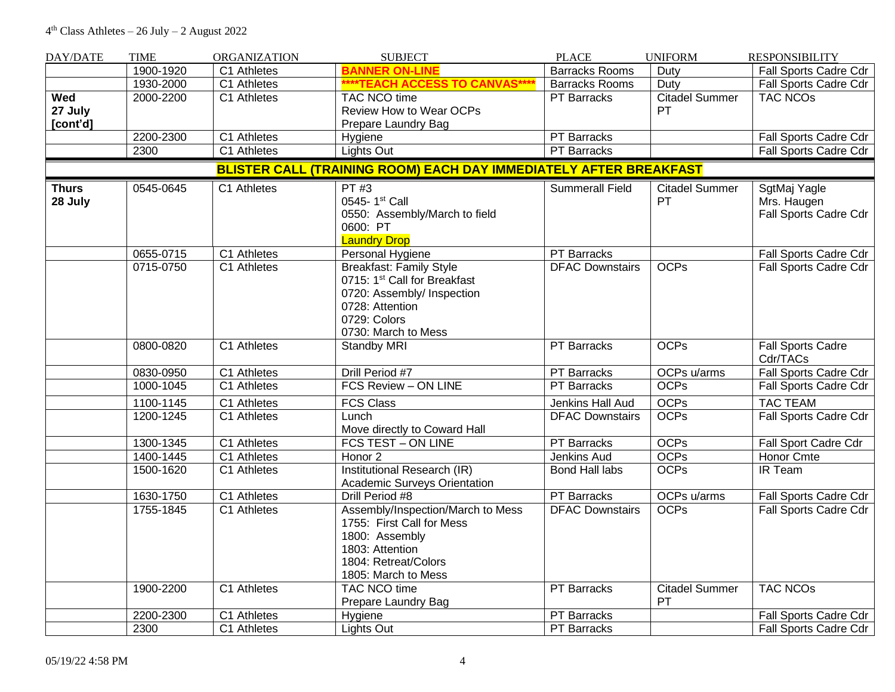| DAY/DATE     | <b>TIME</b> | <b>ORGANIZATION</b> | <b>SUBJECT</b>                                                           | <b>PLACE</b>           | <b>UNIFORM</b>        | <b>RESPONSIBILITY</b>        |
|--------------|-------------|---------------------|--------------------------------------------------------------------------|------------------------|-----------------------|------------------------------|
|              | 1900-1920   | C1 Athletes         | <b>BANNER ON-LINE</b>                                                    | <b>Barracks Rooms</b>  | Duty                  | Fall Sports Cadre Cdr        |
|              | 1930-2000   | C1 Athletes         | ****TEACH ACCESS TO CANVAS****                                           | <b>Barracks Rooms</b>  | <b>Duty</b>           | Fall Sports Cadre Cdr        |
| Wed          | 2000-2200   | C1 Athletes         | TAC NCO time                                                             | PT Barracks            | <b>Citadel Summer</b> | <b>TAC NCOs</b>              |
| 27 July      |             |                     | Review How to Wear OCPs                                                  |                        | PT                    |                              |
| [cont'd]     |             |                     | Prepare Laundry Bag                                                      |                        |                       |                              |
|              | 2200-2300   | C1 Athletes         | Hygiene                                                                  | PT Barracks            |                       | Fall Sports Cadre Cdr        |
|              | 2300        | C1 Athletes         | <b>Lights Out</b>                                                        | <b>PT</b> Barracks     |                       | Fall Sports Cadre Cdr        |
|              |             |                     | <b>BLISTER CALL (TRAINING ROOM) EACH DAY IMMEDIATELY AFTER BREAKFAST</b> |                        |                       |                              |
| <b>Thurs</b> | 0545-0645   | C1 Athletes         | PT #3                                                                    | <b>Summerall Field</b> | <b>Citadel Summer</b> | SgtMaj Yagle                 |
| 28 July      |             |                     | 0545-1st Call                                                            |                        | <b>PT</b>             | Mrs. Haugen                  |
|              |             |                     | 0550: Assembly/March to field                                            |                        |                       | Fall Sports Cadre Cdr        |
|              |             |                     | 0600: PT                                                                 |                        |                       |                              |
|              |             |                     | <b>Laundry Drop</b>                                                      |                        |                       |                              |
|              | 0655-0715   | C1 Athletes         | Personal Hygiene                                                         | <b>PT</b> Barracks     |                       | Fall Sports Cadre Cdr        |
|              | 0715-0750   | C1 Athletes         | <b>Breakfast: Family Style</b>                                           | <b>DFAC Downstairs</b> | <b>OCPs</b>           | Fall Sports Cadre Cdr        |
|              |             |                     | 0715: 1 <sup>st</sup> Call for Breakfast<br>0720: Assembly/ Inspection   |                        |                       |                              |
|              |             |                     | 0728: Attention                                                          |                        |                       |                              |
|              |             |                     | 0729: Colors                                                             |                        |                       |                              |
|              |             |                     | 0730: March to Mess                                                      |                        |                       |                              |
|              | 0800-0820   | C1 Athletes         | Standby MRI                                                              | <b>PT Barracks</b>     | <b>OCPs</b>           | <b>Fall Sports Cadre</b>     |
|              |             |                     |                                                                          |                        |                       | Cdr/TACs                     |
|              | 0830-0950   | C1 Athletes         | Drill Period #7                                                          | PT Barracks            | OCPs u/arms           | Fall Sports Cadre Cdr        |
|              | 1000-1045   | C1 Athletes         | <b>FCS Review - ON LINE</b>                                              | <b>PT</b> Barracks     | <b>OCPs</b>           | Fall Sports Cadre Cdr        |
|              | 1100-1145   | C1 Athletes         | <b>FCS Class</b>                                                         | Jenkins Hall Aud       | <b>OCPs</b>           | <b>TAC TEAM</b>              |
|              | 1200-1245   | C1 Athletes         | Lunch                                                                    | <b>DFAC Downstairs</b> | <b>OCPs</b>           | <b>Fall Sports Cadre Cdr</b> |
|              |             |                     | Move directly to Coward Hall                                             |                        |                       |                              |
|              | 1300-1345   | C1 Athletes         | <b>FCS TEST - ON LINE</b>                                                | <b>PT</b> Barracks     | <b>OCPs</b>           | Fall Sport Cadre Cdr         |
|              | 1400-1445   | C1 Athletes         | Honor <sub>2</sub>                                                       | <b>Jenkins Aud</b>     | <b>OCPs</b>           | <b>Honor Cmte</b>            |
|              | 1500-1620   | C1 Athletes         | Institutional Research (IR)                                              | <b>Bond Hall labs</b>  | <b>OCPs</b>           | <b>IR Team</b>               |
|              |             |                     | <b>Academic Surveys Orientation</b>                                      |                        |                       |                              |
|              | 1630-1750   | C1 Athletes         | Drill Period #8                                                          | <b>PT</b> Barracks     | OCPs u/arms           | Fall Sports Cadre Cdr        |
|              | 1755-1845   | C1 Athletes         | Assembly/Inspection/March to Mess                                        | <b>DFAC Downstairs</b> | <b>OCPs</b>           | Fall Sports Cadre Cdr        |
|              |             |                     | 1755: First Call for Mess<br>1800: Assembly                              |                        |                       |                              |
|              |             |                     | 1803: Attention                                                          |                        |                       |                              |
|              |             |                     | 1804: Retreat/Colors                                                     |                        |                       |                              |
|              |             |                     | 1805: March to Mess                                                      |                        |                       |                              |
|              | 1900-2200   | C1 Athletes         | <b>TAC NCO time</b>                                                      | <b>PT</b> Barracks     | <b>Citadel Summer</b> | <b>TAC NCOS</b>              |
|              |             |                     | Prepare Laundry Bag                                                      |                        | PT                    |                              |
|              | 2200-2300   | C1 Athletes         | Hygiene                                                                  | PT Barracks            |                       | Fall Sports Cadre Cdr        |
|              | 2300        | C1 Athletes         | Lights Out                                                               | PT Barracks            |                       | Fall Sports Cadre Cdr        |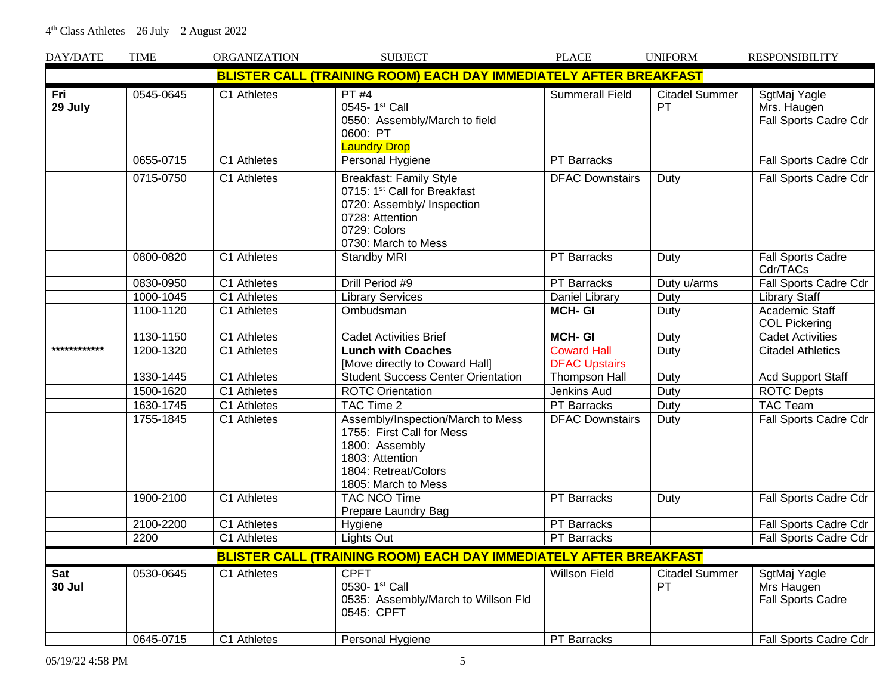## $4<sup>th</sup> Class Athletes - 26 July - 2 August 2022$

| DAY/DATE             | <b>TIME</b> | ORGANIZATION | <b>SUBJECT</b>                                                                                                                                                     | <b>PLACE</b>                               | <b>UNIFORM</b>              | <b>RESPONSIBILITY</b>                                  |
|----------------------|-------------|--------------|--------------------------------------------------------------------------------------------------------------------------------------------------------------------|--------------------------------------------|-----------------------------|--------------------------------------------------------|
|                      |             |              | BLISTER CALL (TRAINING ROOM) EACH DAY IMMEDIATELY AFTER BREAKFAST                                                                                                  |                                            |                             |                                                        |
| Fri<br>29 July       | 0545-0645   | C1 Athletes  | <b>PT #4</b><br>0545-1st Call<br>0550: Assembly/March to field<br>0600: PT<br><b>Laundry Drop</b>                                                                  | <b>Summerall Field</b>                     | <b>Citadel Summer</b><br>PT | SgtMaj Yagle<br>Mrs. Haugen<br>Fall Sports Cadre Cdr   |
|                      | 0655-0715   | C1 Athletes  | Personal Hygiene                                                                                                                                                   | <b>PT Barracks</b>                         |                             | Fall Sports Cadre Cdr                                  |
|                      | 0715-0750   | C1 Athletes  | <b>Breakfast: Family Style</b><br>0715: 1 <sup>st</sup> Call for Breakfast<br>0720: Assembly/ Inspection<br>0728: Attention<br>0729: Colors<br>0730: March to Mess | <b>DFAC Downstairs</b>                     | Duty                        | Fall Sports Cadre Cdr                                  |
|                      | 0800-0820   | C1 Athletes  | <b>Standby MRI</b>                                                                                                                                                 | PT Barracks                                | Duty                        | <b>Fall Sports Cadre</b><br>Cdr/TACs                   |
|                      | 0830-0950   | C1 Athletes  | Drill Period #9                                                                                                                                                    | PT Barracks                                | Duty u/arms                 | Fall Sports Cadre Cdr                                  |
|                      | 1000-1045   | C1 Athletes  | <b>Library Services</b>                                                                                                                                            | Daniel Library                             | Duty                        | <b>Library Staff</b>                                   |
|                      | 1100-1120   | C1 Athletes  | Ombudsman                                                                                                                                                          | <b>MCH-GI</b>                              | Duty                        | Academic Staff<br><b>COL Pickering</b>                 |
|                      | 1130-1150   | C1 Athletes  | <b>Cadet Activities Brief</b>                                                                                                                                      | <b>MCH-GI</b>                              | Duty                        | <b>Cadet Activities</b>                                |
| ************         | 1200-1320   | C1 Athletes  | <b>Lunch with Coaches</b><br>[Move directly to Coward Hall]                                                                                                        | <b>Coward Hall</b><br><b>DFAC Upstairs</b> | Duty                        | <b>Citadel Athletics</b>                               |
|                      | 1330-1445   | C1 Athletes  | <b>Student Success Center Orientation</b>                                                                                                                          | Thompson Hall                              | Duty                        | <b>Acd Support Staff</b>                               |
|                      | 1500-1620   | C1 Athletes  | <b>ROTC Orientation</b>                                                                                                                                            | Jenkins Aud                                | Duty                        | <b>ROTC Depts</b>                                      |
|                      | 1630-1745   | C1 Athletes  | TAC Time 2                                                                                                                                                         | PT Barracks                                | Duty                        | TAC Team                                               |
|                      | 1755-1845   | C1 Athletes  | Assembly/Inspection/March to Mess<br>1755: First Call for Mess<br>1800: Assembly<br>1803: Attention<br>1804: Retreat/Colors<br>1805: March to Mess                 | <b>DFAC Downstairs</b>                     | Duty                        | Fall Sports Cadre Cdr                                  |
|                      | 1900-2100   | C1 Athletes  | TAC NCO Time<br>Prepare Laundry Bag                                                                                                                                | PT Barracks                                | Duty                        | Fall Sports Cadre Cdr                                  |
|                      | 2100-2200   | C1 Athletes  | Hygiene                                                                                                                                                            | PT Barracks                                |                             | Fall Sports Cadre Cdr                                  |
|                      | 2200        | C1 Athletes  | Lights Out                                                                                                                                                         | <b>PT</b> Barracks                         |                             | Fall Sports Cadre Cdr                                  |
|                      |             |              | BLISTER CALL (TRAINING ROOM) EACH DAY IMMEDIATELY AFTER BREAKFAST                                                                                                  |                                            |                             |                                                        |
| Sat<br><b>30 Jul</b> | 0530-0645   | C1 Athletes  | <b>CPFT</b><br>0530-1st Call<br>0535: Assembly/March to Willson Fld<br>0545: CPFT                                                                                  | Willson Field                              | <b>Citadel Summer</b><br>PT | SgtMaj Yagle<br>Mrs Haugen<br><b>Fall Sports Cadre</b> |
|                      | 0645-0715   | C1 Athletes  | Personal Hygiene                                                                                                                                                   | PT Barracks                                |                             | Fall Sports Cadre Cdr                                  |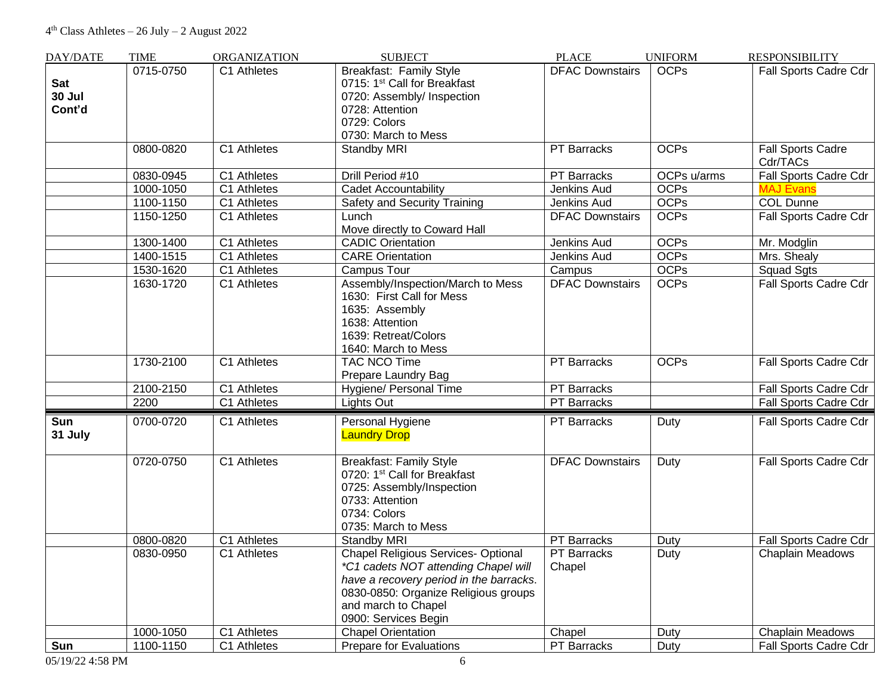| DAY/DATE                              | <b>TIME</b> | ORGANIZATION | <b>SUBJECT</b>                                                                                                                                                                                                       | <b>PLACE</b>                 | <b>UNIFORM</b> | <b>RESPONSIBILITY</b>         |
|---------------------------------------|-------------|--------------|----------------------------------------------------------------------------------------------------------------------------------------------------------------------------------------------------------------------|------------------------------|----------------|-------------------------------|
| <b>Sat</b><br><b>30 Jul</b><br>Cont'd | 0715-0750   | C1 Athletes  | Breakfast: Family Style<br>0715: 1st Call for Breakfast<br>0720: Assembly/ Inspection<br>0728: Attention<br>0729: Colors<br>0730: March to Mess                                                                      | <b>DFAC Downstairs</b>       | <b>OCPs</b>    | Fall Sports Cadre Cdr         |
|                                       | 0800-0820   | C1 Athletes  | Standby MRI                                                                                                                                                                                                          | <b>PT Barracks</b>           | <b>OCPs</b>    | Fall Sports Cadre<br>Cdr/TACs |
|                                       | 0830-0945   | C1 Athletes  | Drill Period #10                                                                                                                                                                                                     | PT Barracks                  | OCPs u/arms    | Fall Sports Cadre Cdr         |
|                                       | 1000-1050   | C1 Athletes  | Cadet Accountability                                                                                                                                                                                                 | Jenkins Aud                  | <b>OCPs</b>    | <b>MAJ Evans</b>              |
|                                       | 1100-1150   | C1 Athletes  | Safety and Security Training                                                                                                                                                                                         | Jenkins Aud                  | <b>OCPs</b>    | <b>COL Dunne</b>              |
|                                       | 1150-1250   | C1 Athletes  | Lunch<br>Move directly to Coward Hall                                                                                                                                                                                | <b>DFAC Downstairs</b>       | <b>OCPs</b>    | Fall Sports Cadre Cdr         |
|                                       | 1300-1400   | C1 Athletes  | <b>CADIC Orientation</b>                                                                                                                                                                                             | Jenkins Aud                  | <b>OCPs</b>    | Mr. Modglin                   |
|                                       | 1400-1515   | C1 Athletes  | <b>CARE Orientation</b>                                                                                                                                                                                              | Jenkins Aud                  | <b>OCPs</b>    | Mrs. Shealy                   |
|                                       | 1530-1620   | C1 Athletes  | <b>Campus Tour</b>                                                                                                                                                                                                   | Campus                       | <b>OCPs</b>    | <b>Squad Sgts</b>             |
|                                       | 1630-1720   | C1 Athletes  | Assembly/Inspection/March to Mess<br>1630: First Call for Mess<br>1635: Assembly<br>1638: Attention<br>1639: Retreat/Colors<br>1640: March to Mess                                                                   | <b>DFAC Downstairs</b>       | <b>OCPs</b>    | Fall Sports Cadre Cdr         |
|                                       | 1730-2100   | C1 Athletes  | <b>TAC NCO Time</b><br>Prepare Laundry Bag                                                                                                                                                                           | PT Barracks                  | <b>OCPs</b>    | Fall Sports Cadre Cdr         |
|                                       | 2100-2150   | C1 Athletes  | Hygiene/ Personal Time                                                                                                                                                                                               | PT Barracks                  |                | Fall Sports Cadre Cdr         |
|                                       | 2200        | C1 Athletes  | <b>Lights Out</b>                                                                                                                                                                                                    | PT Barracks                  |                | Fall Sports Cadre Cdr         |
| Sun<br>31 July                        | 0700-0720   | C1 Athletes  | Personal Hygiene<br><b>Laundry Drop</b>                                                                                                                                                                              | PT Barracks                  | Duty           | Fall Sports Cadre Cdr         |
|                                       | 0720-0750   | C1 Athletes  | <b>Breakfast: Family Style</b><br>0720: 1 <sup>st</sup> Call for Breakfast<br>0725: Assembly/Inspection<br>0733: Attention<br>0734: Colors<br>0735: March to Mess                                                    | <b>DFAC Downstairs</b>       | Duty           | Fall Sports Cadre Cdr         |
|                                       | 0800-0820   | C1 Athletes  | Standby MRI                                                                                                                                                                                                          | PT Barracks                  | Duty           | Fall Sports Cadre Cdr         |
|                                       | 0830-0950   | C1 Athletes  | <b>Chapel Religious Services- Optional</b><br>*C1 cadets NOT attending Chapel will<br>have a recovery period in the barracks.<br>0830-0850: Organize Religious groups<br>and march to Chapel<br>0900: Services Begin | <b>PT Barracks</b><br>Chapel | Duty           | Chaplain Meadows              |
|                                       | 1000-1050   | C1 Athletes  | <b>Chapel Orientation</b>                                                                                                                                                                                            | Chapel                       | Duty           | Chaplain Meadows              |
| Sun                                   | 1100-1150   | C1 Athletes  | Prepare for Evaluations                                                                                                                                                                                              | PT Barracks                  | Duty           | Fall Sports Cadre Cdr         |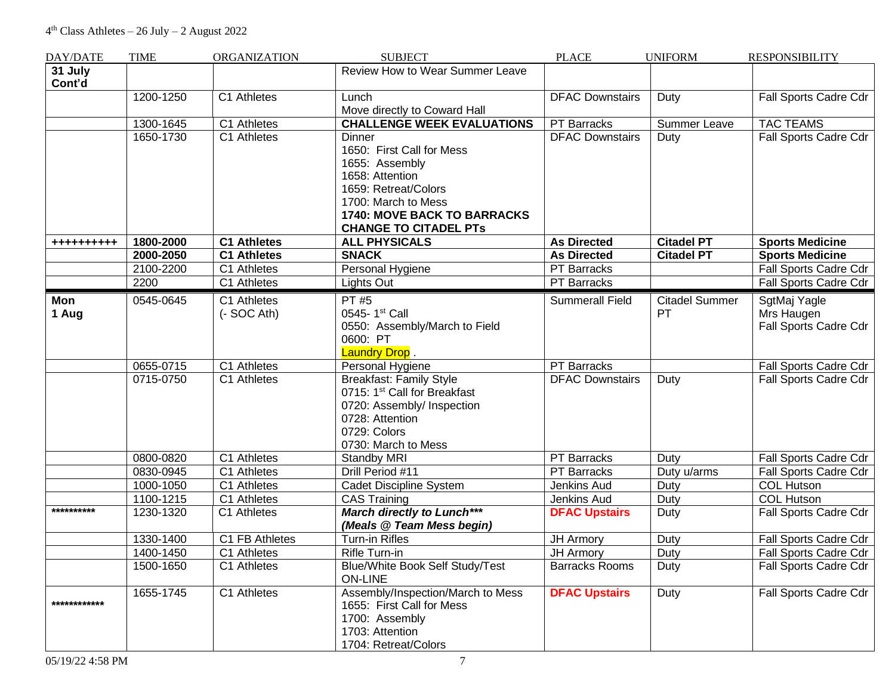| DAY/DATE          | <b>TIME</b> | <b>ORGANIZATION</b>        | <b>SUBJECT</b>                                                                                                                                                                                | <b>PLACE</b>           | <b>UNIFORM</b>              | <b>RESPONSIBILITY</b>                               |
|-------------------|-------------|----------------------------|-----------------------------------------------------------------------------------------------------------------------------------------------------------------------------------------------|------------------------|-----------------------------|-----------------------------------------------------|
| 31 July<br>Cont'd |             |                            | Review How to Wear Summer Leave                                                                                                                                                               |                        |                             |                                                     |
|                   | 1200-1250   | C1 Athletes                | Lunch<br>Move directly to Coward Hall                                                                                                                                                         | <b>DFAC Downstairs</b> | Duty                        | Fall Sports Cadre Cdr                               |
|                   | 1300-1645   | C1 Athletes                | <b>CHALLENGE WEEK EVALUATIONS</b>                                                                                                                                                             | PT Barracks            | Summer Leave                | <b>TAC TEAMS</b>                                    |
|                   | 1650-1730   | C1 Athletes                | Dinner<br>1650: First Call for Mess<br>1655: Assembly<br>1658: Attention<br>1659: Retreat/Colors<br>1700: March to Mess<br><b>1740: MOVE BACK TO BARRACKS</b><br><b>CHANGE TO CITADEL PTS</b> | <b>DFAC Downstairs</b> | Duty                        | Fall Sports Cadre Cdr                               |
| +++++++++         | 1800-2000   | <b>C1 Athletes</b>         | <b>ALL PHYSICALS</b>                                                                                                                                                                          | <b>As Directed</b>     | <b>Citadel PT</b>           | <b>Sports Medicine</b>                              |
|                   | 2000-2050   | <b>C1 Athletes</b>         | <b>SNACK</b>                                                                                                                                                                                  | <b>As Directed</b>     | <b>Citadel PT</b>           | <b>Sports Medicine</b>                              |
|                   | 2100-2200   | C1 Athletes                | Personal Hygiene                                                                                                                                                                              | <b>PT Barracks</b>     |                             | Fall Sports Cadre Cdr                               |
|                   | 2200        | C1 Athletes                | Lights Out                                                                                                                                                                                    | <b>PT Barracks</b>     |                             | Fall Sports Cadre Cdr                               |
| Mon<br>1 Aug      | 0545-0645   | C1 Athletes<br>(- SOC Ath) | PT #5<br>0545-1st Call<br>0550: Assembly/March to Field<br>0600: PT<br><b>Laundry Drop.</b>                                                                                                   | <b>Summerall Field</b> | <b>Citadel Summer</b><br>PT | SgtMaj Yagle<br>Mrs Haugen<br>Fall Sports Cadre Cdr |
|                   | 0655-0715   | C1 Athletes                | Personal Hygiene                                                                                                                                                                              | <b>PT Barracks</b>     |                             | <b>Fall Sports Cadre Cdr</b>                        |
|                   | 0715-0750   | C1 Athletes                | <b>Breakfast: Family Style</b><br>0715: 1 <sup>st</sup> Call for Breakfast<br>0720: Assembly/ Inspection<br>0728: Attention<br>0729: Colors<br>0730: March to Mess                            | <b>DFAC Downstairs</b> | Duty                        | Fall Sports Cadre Cdr                               |
|                   | 0800-0820   | C1 Athletes                | <b>Standby MRI</b>                                                                                                                                                                            | <b>PT Barracks</b>     | Duty                        | Fall Sports Cadre Cdr                               |
|                   | 0830-0945   | C1 Athletes                | Drill Period #11                                                                                                                                                                              | <b>PT Barracks</b>     | Duty u/arms                 | Fall Sports Cadre Cdr                               |
|                   | 1000-1050   | C1 Athletes                | <b>Cadet Discipline System</b>                                                                                                                                                                | Jenkins Aud            | Duty                        | <b>COL Hutson</b>                                   |
|                   | 1100-1215   | C1 Athletes                | <b>CAS Training</b>                                                                                                                                                                           | Jenkins Aud            | Duty                        | <b>COL Hutson</b>                                   |
| **********        | 1230-1320   | C1 Athletes                | <b>March directly to Lunch***</b><br>(Meals @ Team Mess begin)                                                                                                                                | <b>DFAC Upstairs</b>   | Duty                        | Fall Sports Cadre Cdr                               |
|                   | 1330-1400   | C1 FB Athletes             | <b>Turn-in Rifles</b>                                                                                                                                                                         | JH Armory              | Duty                        | Fall Sports Cadre Cdr                               |
|                   | 1400-1450   | C1 Athletes                | Rifle Turn-in                                                                                                                                                                                 | JH Armory              | Duty                        | Fall Sports Cadre Cdr                               |
|                   | 1500-1650   | C1 Athletes                | Blue/White Book Self Study/Test<br><b>ON-LINE</b>                                                                                                                                             | <b>Barracks Rooms</b>  | Duty                        | Fall Sports Cadre Cdr                               |
| ************      | 1655-1745   | C1 Athletes                | Assembly/Inspection/March to Mess<br>1655: First Call for Mess<br>1700: Assembly<br>1703: Attention<br>1704: Retreat/Colors                                                                   | <b>DFAC Upstairs</b>   | Duty                        | Fall Sports Cadre Cdr                               |